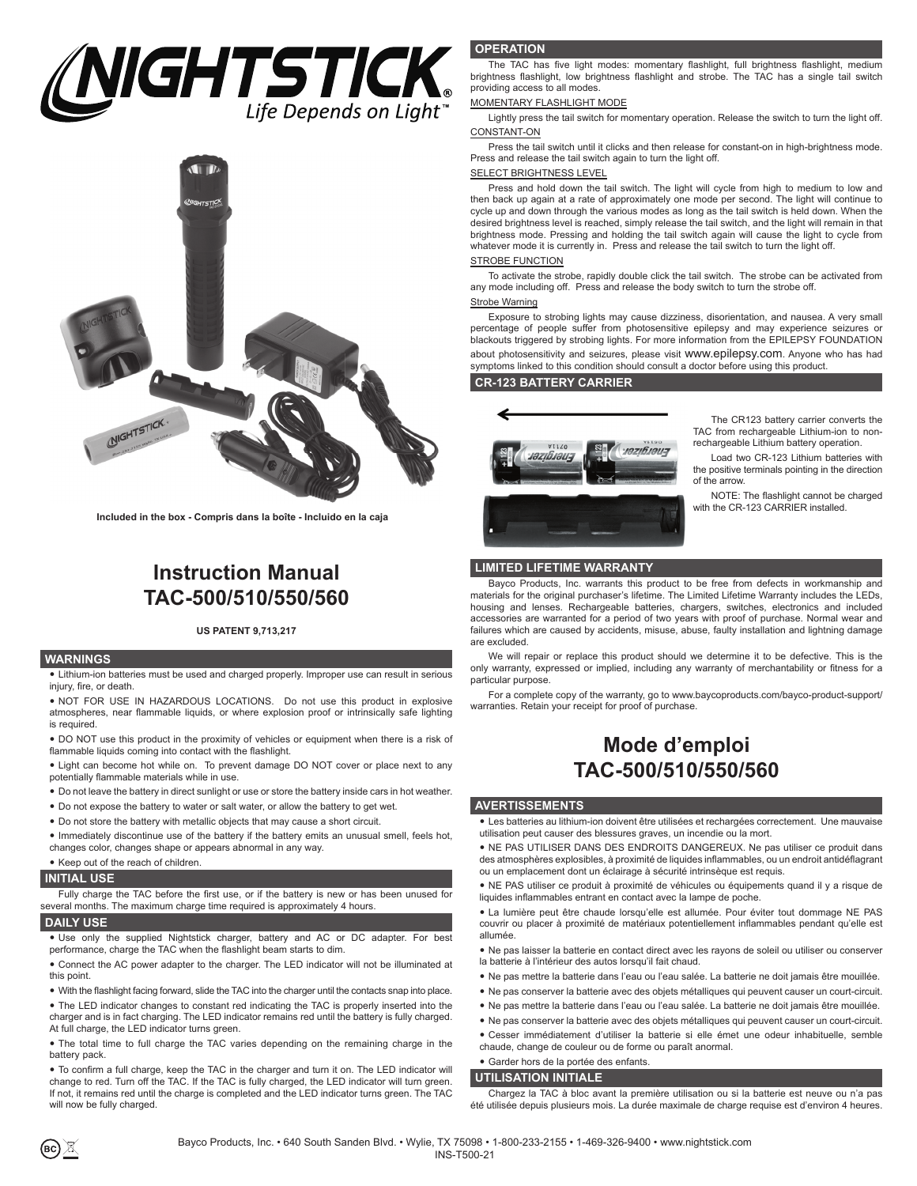# $\mathsf{IGHTSTICK}_{\scriptscriptstyle \sf Life\,Depends\,on\,Light}^{\scriptscriptstyle \sf T}}$



**Included in the box - Compris dans la boîte - Incluido en la caja**

## **Instruction Manual TAC-500/510/550/560**

#### **US PATENT 9,713,217**

#### **WARNINGS**

• Lithium-ion batteries must be used and charged properly. Improper use can result in serious injury, fire, or death.

• NOT FOR USE IN HAZARDOUS LOCATIONS. Do not use this product in explosive atmospheres, near flammable liquids, or where explosion proof or intrinsically safe lighting is required.

• DO NOT use this product in the proximity of vehicles or equipment when there is a risk of flammable liquids coming into contact with the flashlight.

• Light can become hot while on. To prevent damage DO NOT cover or place next to any potentially flammable materials while in use.

- Do not leave the battery in direct sunlight or use or store the battery inside cars in hot weather.
- Do not expose the battery to water or salt water, or allow the battery to get wet.
- Do not store the battery with metallic objects that may cause a short circuit.

• Immediately discontinue use of the battery if the battery emits an unusual smell, feels hot, changes color, changes shape or appears abnormal in any way.

#### • Keep out of the reach of children.

#### **INITIAL USE**

Fully charge the TAC before the first use, or if the battery is new or has been unused for several months. The maximum charge time required is approximately 4 hours.

#### **DAILY USE**

• Use only the supplied Nightstick charger, battery and AC or DC adapter. For best performance, charge the TAC when the flashlight beam starts to dim.

• Connect the AC power adapter to the charger. The LED indicator will not be illuminated at this point.

• With the flashlight facing forward, slide the TAC into the charger until the contacts snap into place.

• The LED indicator changes to constant red indicating the TAC is properly inserted into the charger and is in fact charging. The LED indicator remains red until the battery is fully charged. At full charge, the LED indicator turns green.

• The total time to full charge the TAC varies depending on the remaining charge in the battery pack.

• To confirm a full charge, keep the TAC in the charger and turn it on. The LED indicator will change to red. Turn off the TAC. If the TAC is fully charged, the LED indicator will turn green. If not, it remains red until the charge is completed and the LED indicator turns green. The TAC will now be fully charged.

#### **OPERATION**

The TAC has five light modes: momentary flashlight, full brightness flashlight, medium brightness flashlight, low brightness flashlight and strobe. The TAC has a single tail switch providing access to all modes.

#### MOMENTARY FLASHLIGHT MODE

Lightly press the tail switch for momentary operation. Release the switch to turn the light off. CONSTANT-ON

Press the tail switch until it clicks and then release for constant-on in high-brightness mode. Press and release the tail switch again to turn the light off.

#### SELECT BRIGHTNESS LEVEL

Press and hold down the tail switch. The light will cycle from high to medium to low and then back up again at a rate of approximately one mode per second. The light will continue to cycle up and down through the various modes as long as the tail switch is held down. When the desired brightness level is reached, simply release the tail switch, and the light will remain in that brightness mode. Pressing and holding the tail switch again will cause the light to cycle from whatever mode it is currently in. Press and release the tail switch to turn the light off.

#### STROBE FUNCTION

To activate the strobe, rapidly double click the tail switch. The strobe can be activated from any mode including off. Press and release the body switch to turn the strobe off.

#### Strobe Warning

Exposure to strobing lights may cause dizziness, disorientation, and nausea. A very small percentage of people suffer from photosensitive epilepsy and may experience seizures or blackouts triggered by strobing lights. For more information from the EPILEPSY FOUNDATION about photosensitivity and seizures, please visit www.epilepsy.com. Anyone who has had symptoms linked to this condition should consult a doctor before using this product.

#### **CR-123 BATTERY CARRIER**



The CR123 battery carrier converts the TAC from rechargeable Lithium-ion to nonrechargeable Lithium battery operation.

Load two CR-123 Lithium batteries with the positive terminals pointing in the direction of the arrow.

NOTE: The flashlight cannot be charged with the CR-123 CARRIER installed.

#### **LIMITED LIFETIME WARRANTY**

Bayco Products, Inc. warrants this product to be free from defects in workmanship and materials for the original purchaser's lifetime. The Limited Lifetime Warranty includes the LEDs, housing and lenses. Rechargeable batteries, chargers, switches, electronics and included accessories are warranted for a period of two years with proof of purchase. Normal wear and failures which are caused by accidents, misuse, abuse, faulty installation and lightning damage are excluded.

We will repair or replace this product should we determine it to be defective. This is the only warranty, expressed or implied, including any warranty of merchantability or fitness for a particular purpose.

For a complete copy of the warranty, go to www.baycoproducts.com/bayco-product-support/ warranties. Retain your receipt for proof of purchase.

## **Mode d'emploi TAC-500/510/550/560**

#### **AVERTISSEMENTS**

• Les batteries au lithium-ion doivent être utilisées et rechargées correctement. Une mauvaise utilisation peut causer des blessures graves, un incendie ou la mort.

• NE PAS UTILISER DANS DES ENDROITS DANGEREUX. Ne pas utiliser ce produit dans des atmosphères explosibles, à proximité de liquides inflammables, ou un endroit antidéflagrant ou un emplacement dont un éclairage à sécurité intrinsèque est requis.

y NE PAS utiliser ce produit à proximité de véhicules ou équipements quand il y a risque de liquides inflammables entrant en contact avec la lampe de poche.

• La lumière peut être chaude lorsqu'elle est allumée. Pour éviter tout dommage NE PAS couvrir ou placer à proximité de matériaux potentiellement inflammables pendant qu'elle est allumée.

• Ne pas laisser la batterie en contact direct avec les rayons de soleil ou utiliser ou conserver la batterie à l'intérieur des autos lorsqu'il fait chaud.

- Ne pas mettre la batterie dans l'eau ou l'eau salée. La batterie ne doit jamais être mouillée.
- y Ne pas conserver la batterie avec des objets métalliques qui peuvent causer un court-circuit.
- y Ne pas mettre la batterie dans l'eau ou l'eau salée. La batterie ne doit jamais être mouillée.
- Ne pas conserver la batterie avec des objets métalliques qui peuvent causer un court-circuit.
- Cesser immédiatement d'utiliser la batterie si elle émet une odeur inhabituelle, semble
- chaude, change de couleur ou de forme ou paraît anormal.

#### • Garder hors de la portée des enfants.

**UTILISATION INITIALE**

Chargez la TAC à bloc avant la première utilisation ou si la batterie est neuve ou n'a pas été utilisée depuis plusieurs mois. La durée maximale de charge requise est d'environ 4 heures.